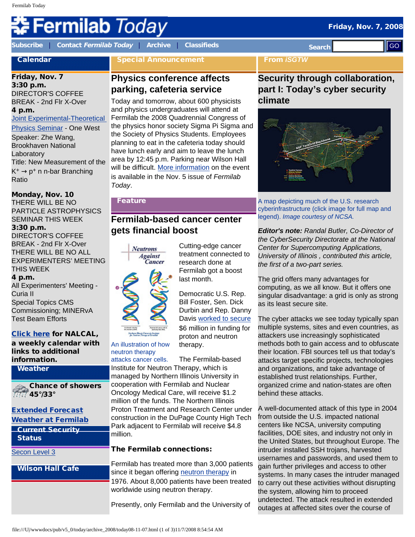# Fermilab *Today*

**[Subscribe](http://www.fnal.gov/pub/today/subscription.html)** | **Contact [Fermilab Today](mailto:today@fnal.gov)** | **[Archive](http://www.fnal.gov/pub/today/archive.html)** | **[Classifieds](http://www.fnal.gov/pub/today/classifieds.html) Search Calendar** Friday, Nov. 7 3:30 p.m. DIRECTOR'S COFFEE BREAK - 2nd Flr X-Over 4 p.m. Joint Experimental-Theoretical [Physics Seminar](http://theory.fnal.gov/jetp/) - One West Speaker: Zhe Wang, Brookhaven National Laboratory Title: New Measurement of the  $K^+ \rightarrow p^+$  n n-bar Branching Ratio Monday, Nov. 10 THERE WILL BE NO PARTICLE ASTROPHYSICS SEMINAR THIS WEEK Special Announcement **Physics conference affects parking, cafeteria service** Today and tomorrow, about 600 physicists and physics undergraduates will attend at Fermilab the 2008 Quadrennial Congress of the physics honor society Sigma Pi Sigma and the Society of Physics Students. Employees planning to eat in the cafeteria today should have lunch early and aim to leave the lunch area by 12:45 p.m. Parking near Wilson Hall will be difficult. [More information](http://www.fnal.gov/pub/today/archive_2008/today08-11-05.html) on the event is available in the Nov. 5 issue of *Fermilab Today*. Feature **Fermilab-based cancer center**  From *iSGTW* **Security through collaboration, part I: Today's cyber security climate** A map depicting much of the U.S. research legend). *Image courtesy of NCSA.*  **Excelse Control of Second Control of Second Control of Second Control of Control of Control of Control of Control of Control of Control of Control of Control of Control of Control of Control of Control of Control of Cont** 

#### 3:30 p.m. DIRECTOR'S COFFEE BREAK - 2nd Flr X-Over THERE WILL BE NO ALL EXPERIMENTERS' MEETING

THIS WEEK 4 p.m. All Experimenters' Meeting - Curia II Special Topics CMS

# Commissioning; MINERvA Test Beam Efforts

# [Click here](http://www.fnal.gov/directorate/nalcal/nalcal11_03_08.html) for NALCAL,

a weekly calendar with links to additional information.

#### Weather

Chance of showers 45°/33°

#### [Extended Forecast](http://forecast.weather.gov/MapClick.php?CityName=Batavia&state=IL&site=LOT&textField1=41.8506&textField2=-88.3004) [Weather at Fermilab](http://www-esh.fnal.gov/pls/default/weather.html)

| <b>Current Security</b> |  |
|-------------------------|--|
| <b>Status</b>           |  |

#### [Secon Level 3](http://www.fnal.gov/pub/about/public_affairs/currentstatus.html)

#### Wilson Hall Cafe

# **gets financial boost**



An illustration of how neutron therapy

Fermilab got a boost last month. Democratic U.S. Rep. Bill Foster, Sen. Dick Durbin and Rep. Danny

Cutting-edge cancer treatment connected to research done at

Davis [worked to secure](http://foster.house.gov/News/DocumentSingle.aspx?DocumentID=104735) \$6 million in funding for proton and neutron therapy.

attacks cancer cells. The Fermilab-based Institute for Neutron Therapy, which is managed by Northern Illinois University in cooperation with Fermilab and Nuclear Oncology Medical Care, will receive \$1.2 million of the funds. The Northern Illinois Proton Treatment and Research Center under construction in the DuPage County High Tech Park adjacent to Fermilab will receive \$4.8 million.

# The Fermilab connections:

Fermilab has treated more than 3,000 patients since it began offering [neutron therapy](http://www-bd.fnal.gov/ntf/ntf_home.html) in 1976. About 8,000 patients have been treated worldwide using neutron therapy.

Presently, only Fermilab and the University of



cyberinfrastructure (click image for full map and

*Editor's note: Randal Butler, Co-Director of the CyberSecurity Directorate at the National Center for Supercomputing Applications, University of Illinois , contributed this article, the first of a two-part series.*

The grid offers many advantages for computing, as we all know. But it offers one singular disadvantage: a grid is only as strong as its least secure site.

The cyber attacks we see today typically span multiple systems, sites and even countries, as attackers use increasingly sophisticated methods both to gain access and to obfuscate their location. FBI sources tell us that today's attacks target specific projects, technologies and organizations, and take advantage of established trust relationships. Further, organized crime and nation-states are often behind these attacks.

A well-documented attack of this type in 2004 from outside the U.S. impacted national centers like NCSA, university computing facilities, DOE sites, and industry not only in the United States, but throughout Europe. The intruder installed SSH trojans, harvested usernames and passwords, and used them to gain further privileges and access to other systems. In many cases the intruder managed to carry out these activities without disrupting the system, allowing him to proceed undetected. The attack resulted in extended outages at affected sites over the course of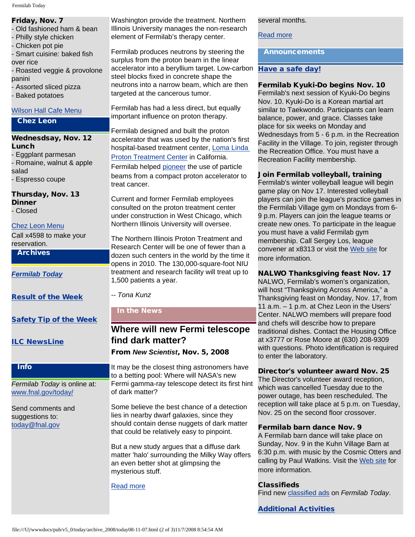#### Friday, Nov. 7

- Old fashioned ham & bean
- Philly style chicken
- Chicken pot pie

- Smart cuisine: baked fish over rice

- Roasted veggie & provolone panini

- Assorted sliced pizza - Baked potatoes

#### [Wilson Hall Cafe Menu](http://bss.fnal.gov/cafe/index.html)

# Chez Leon

- Wednesdsay, Nov. 12 Lunch
- Eggplant parmesan - Romaine, walnut & apple salad - Espresso coupe

Thursday, Nov. 13 **Dinner** - Closed

[Chez Leon Menu](http://bss.fnal.gov/chezleon/index.html)

Call x4598 to make your reservation.

Archives

*[Fermilab Today](http://www.fnal.gov/pub/today/archive.html)*

[Result of the Week](http://www.fnal.gov/pub/today/resultoftheweek/index.html)

[Safety Tip of the Week](http://www.fnal.gov/pub/today/safety/)

[ILC NewsLine](http://www.linearcollider.org/newsline/archive/index.html)

#### Info

*Fermilab Today* is online at: [www.fnal.gov/today/](http://www.fnal.gov/today/)

Send comments and suggestions to: [today@fnal.gov](mailto:today@fnal.gov)

Washington provide the treatment. Northern Illinois University manages the non-research element of Fermilab's therapy center.

Fermilab produces neutrons by steering the surplus from the proton beam in the linear accelerator into a beryllium target. Low-carbon steel blocks fixed in concrete shape the neutrons into a narrow beam, which are then targeted at the cancerous tumor.

Fermilab has had a less direct, but equally important influence on proton therapy.

Fermilab designed and built the proton accelerator that was used by the nation's first hospital-based treatment center, [Loma Linda](http://www.protons.com/about-us/index.html) [Proton Treatment Center](http://www.protons.com/about-us/index.html) in California. Fermilab helped [pioneer](http://www.fnal.gov/pub/ferminews/ferminews01-01-19/p5.html) the use of particle beams from a compact proton accelerator to treat cancer.

Current and former Fermilab employees consulted on the proton treatment center under construction in West Chicago, which Northern Illinois University will oversee.

The Northern Illinois Proton Treatment and Research Center will be one of fewer than a dozen such centers in the world by the time it opens in 2010. The 130,000-square-foot NIU treatment and research facility will treat up to 1,500 patients a year.

*-- Tona Kunz*

# In the News

# **Where will new Fermi telescope find dark matter?**

From *New Scientist*, Nov. 5, 2008

It may be the closest thing astronomers have to a betting pool: Where will NASA's new Fermi gamma-ray telescope detect its first hint of dark matter?

Some believe the best chance of a detection lies in nearby dwarf galaxies, since they should contain dense nuggets of dark matter that could be relatively easy to pinpoint.

But a new study argues that a diffuse dark matter 'halo' surrounding the Milky Way offers an even better shot at glimpsing the mysterious stuff.

[Read more](http://space.newscientist.com/article/dn15126-where-will-new-fermi-telescope-find-dark-matter.html?DCMP=ILC-hmts&nsref=news2_head_dn15126)

several months.

[Read more](http://www.isgtw.org/?pid=1001463)

Announcements

### [Have a safe day!](http://www.fnal.gov/pub/about/safety/profiles.html)

### Fermilab Kyuki-Do begins Nov. 10

Fermilab's next session of Kyuki-Do begins Nov. 10. Kyuki-Do is a Korean martial art similar to Taekwondo. Participants can learn balance, power, and grace. Classes take place for six weeks on Monday and Wednesdays from 5 - 6 p.m. in the Recreation Facility in the Village. To join, register through the Recreation Office. You must have a Recreation Facility membership.

Join Fermilab volleyball, training

Fermilab's winter volleyball league will begin game play on Nov 17. Interested volleyball players can join the league's practice games in the Fermilab Village gym on Mondays from 6- 9 p.m. Players can join the league teams or create new ones. To participate in the league you must have a valid Fermilab gym membership. Call Sergey Los, league convener at x8313 or visit the [Web site](https://plone4.fnal.gov/P1/Main/Orgs/Volleyball) for more information.

# NALWO Thanksgiving feast Nov. 17

NALWO, Fermilab's women's organization, will host "Thanksgiving Across America," a Thanksgiving feast on Monday, Nov. 17, from 11 a.m. – 1 p.m. at Chez Leon in the Users' Center. NALWO members will prepare food and chefs will describe how to prepare traditional dishes. Contact the Housing Office at x3777 or Rose Moore at (630) 208-9309 with questions. Photo identification is required to enter the laboratory.

# Director's volunteer award Nov. 25

The Director's volunteer award reception, which was cancelled Tuesday due to the power outage, has been rescheduled. The reception will take place at 5 p.m. on Tuesday, Nov. 25 on the second floor crossover.

#### Fermilab barn dance Nov. 9

A Fermilab barn dance will take place on Sunday, Nov. 9 in the Kuhn Village Barn at 6:30 p.m. with music by the Cosmic Otters and calling by Paul Watkins. Visit the [Web site](http://www.fnal.gov/orgs/folkclub/) for more information.

# **Classifieds**

Find new [classified ads](http://www.fnal.gov/pub/today/classifieds.html) on *Fermilab Today*.

[Additional Activities](http://www.fnal.gov/pub/today/upcoming_activities.html)